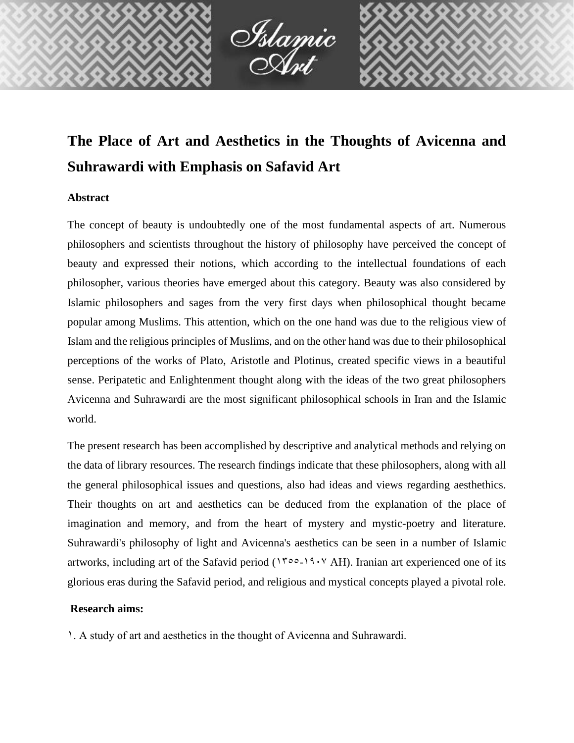

# **The Place of Art and Aesthetics in the Thoughts of Avicenna and Suhrawardi with Emphasis on Safavid Art**

### **Abstract**

The concept of beauty is undoubtedly one of the most fundamental aspects of art. Numerous philosophers and scientists throughout the history of philosophy have perceived the concept of beauty and expressed their notions, which according to the intellectual foundations of each philosopher, various theories have emerged about this category. Beauty was also considered by Islamic philosophers and sages from the very first days when philosophical thought became popular among Muslims. This attention, which on the one hand was due to the religious view of Islam and the religious principles of Muslims, and on the other hand was due to their philosophical perceptions of the works of Plato, Aristotle and Plotinus, created specific views in a beautiful sense. Peripatetic and Enlightenment thought along with the ideas of the two great philosophers Avicenna and Suhrawardi are the most significant philosophical schools in Iran and the Islamic world.

The present research has been accomplished by descriptive and analytical methods and relying on the data of library resources. The research findings indicate that these philosophers, along with all the general philosophical issues and questions, also had ideas and views regarding aesthethics. Their thoughts on art and aesthetics can be deduced from the explanation of the place of imagination and memory, and from the heart of mystery and mystic-poetry and literature. Suhrawardi's philosophy of light and Avicenna's aesthetics can be seen in a number of Islamic artworks, including art of the Safavid period ( $1500-19.7$  AH). Iranian art experienced one of its glorious eras during the Safavid period, and religious and mystical concepts played a pivotal role.

#### **Research aims:**

1. A study of art and aesthetics in the thought of Avicenna and Suhrawardi.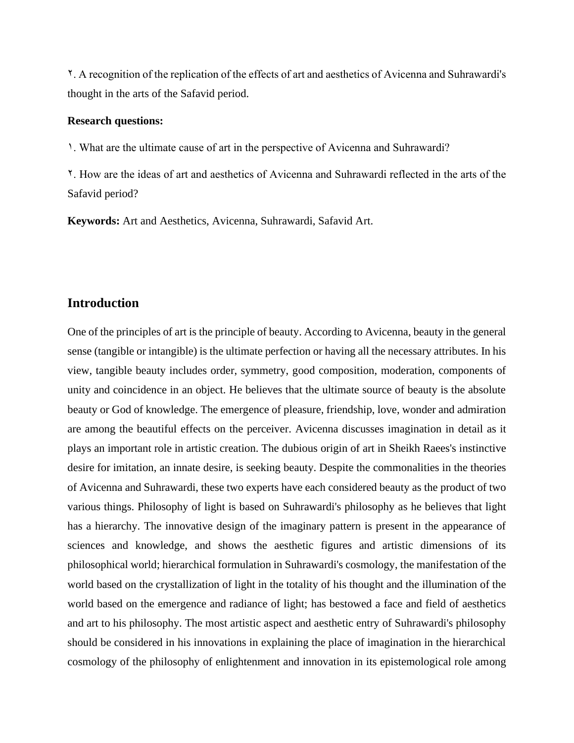2. A recognition of the replication of the effects of art and aesthetics of Avicenna and Suhrawardi's thought in the arts of the Safavid period.

#### **Research questions:**

1. What are the ultimate cause of art in the perspective of Avicenna and Suhrawardi?

2. How are the ideas of art and aesthetics of Avicenna and Suhrawardi reflected in the arts of the Safavid period?

**Keywords:** Art and Aesthetics, Avicenna, Suhrawardi, Safavid Art.

## **Introduction**

One of the principles of art is the principle of beauty. According to Avicenna, beauty in the general sense (tangible or intangible) is the ultimate perfection or having all the necessary attributes. In his view, tangible beauty includes order, symmetry, good composition, moderation, components of unity and coincidence in an object. He believes that the ultimate source of beauty is the absolute beauty or God of knowledge. The emergence of pleasure, friendship, love, wonder and admiration are among the beautiful effects on the perceiver. Avicenna discusses imagination in detail as it plays an important role in artistic creation. The dubious origin of art in Sheikh Raees's instinctive desire for imitation, an innate desire, is seeking beauty. Despite the commonalities in the theories of Avicenna and Suhrawardi, these two experts have each considered beauty as the product of two various things. Philosophy of light is based on Suhrawardi's philosophy as he believes that light has a hierarchy. The innovative design of the imaginary pattern is present in the appearance of sciences and knowledge, and shows the aesthetic figures and artistic dimensions of its philosophical world; hierarchical formulation in Suhrawardi's cosmology, the manifestation of the world based on the crystallization of light in the totality of his thought and the illumination of the world based on the emergence and radiance of light; has bestowed a face and field of aesthetics and art to his philosophy. The most artistic aspect and aesthetic entry of Suhrawardi's philosophy should be considered in his innovations in explaining the place of imagination in the hierarchical cosmology of the philosophy of enlightenment and innovation in its epistemological role among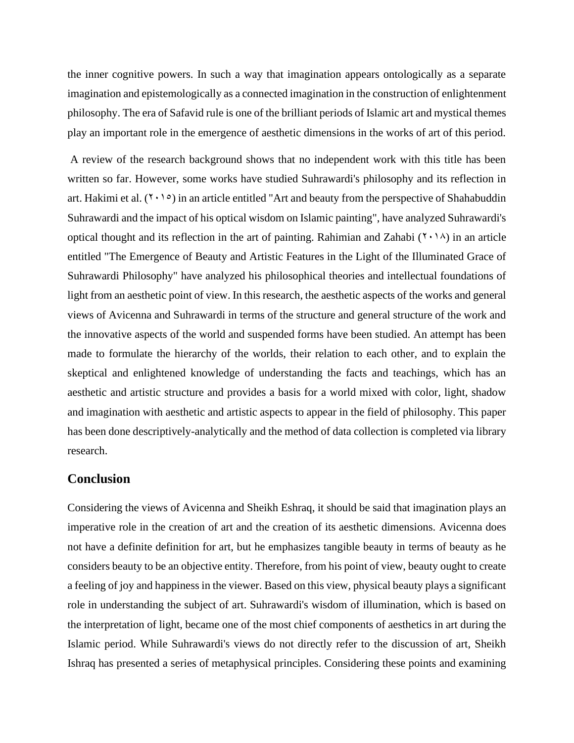the inner cognitive powers. In such a way that imagination appears ontologically as a separate imagination and epistemologically as a connected imagination in the construction of enlightenment philosophy. The era of Safavid rule is one of the brilliant periods of Islamic art and mystical themes play an important role in the emergence of aesthetic dimensions in the works of art of this period.

A review of the research background shows that no independent work with this title has been written so far. However, some works have studied Suhrawardi's philosophy and its reflection in art. Hakimi et al.  $(7 \cdot 1)$  in an article entitled "Art and beauty from the perspective of Shahabuddin Suhrawardi and the impact of his optical wisdom on Islamic painting", have analyzed Suhrawardi's optical thought and its reflection in the art of painting. Rahimian and Zahabi  $(1 \cdot 1)$  in an article entitled "The Emergence of Beauty and Artistic Features in the Light of the Illuminated Grace of Suhrawardi Philosophy" have analyzed his philosophical theories and intellectual foundations of light from an aesthetic point of view. In this research, the aesthetic aspects of the works and general views of Avicenna and Suhrawardi in terms of the structure and general structure of the work and the innovative aspects of the world and suspended forms have been studied. An attempt has been made to formulate the hierarchy of the worlds, their relation to each other, and to explain the skeptical and enlightened knowledge of understanding the facts and teachings, which has an aesthetic and artistic structure and provides a basis for a world mixed with color, light, shadow and imagination with aesthetic and artistic aspects to appear in the field of philosophy. This paper has been done descriptively-analytically and the method of data collection is completed via library research.

## **Conclusion**

Considering the views of Avicenna and Sheikh Eshraq, it should be said that imagination plays an imperative role in the creation of art and the creation of its aesthetic dimensions. Avicenna does not have a definite definition for art, but he emphasizes tangible beauty in terms of beauty as he considers beauty to be an objective entity. Therefore, from his point of view, beauty ought to create a feeling of joy and happiness in the viewer. Based on this view, physical beauty plays a significant role in understanding the subject of art. Suhrawardi's wisdom of illumination, which is based on the interpretation of light, became one of the most chief components of aesthetics in art during the Islamic period. While Suhrawardi's views do not directly refer to the discussion of art, Sheikh Ishraq has presented a series of metaphysical principles. Considering these points and examining